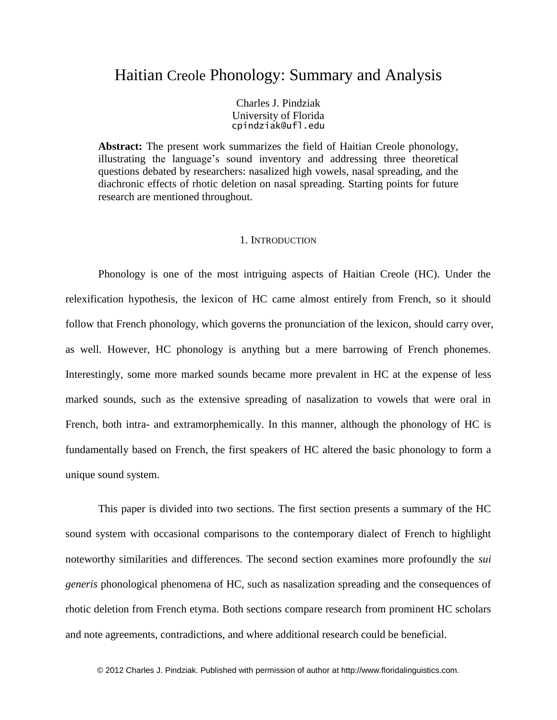# Haitian Creole Phonology: Summary and Analysis

Charles J. Pindziak University of Florida cpindziak@ufl.edu

**Abstract:** The present work summarizes the field of Haitian Creole phonology, illustrating the language's sound inventory and addressing three theoretical questions debated by researchers: nasalized high vowels, nasal spreading, and the diachronic effects of rhotic deletion on nasal spreading. Starting points for future research are mentioned throughout.

### 1. INTRODUCTION

Phonology is one of the most intriguing aspects of Haitian Creole (HC). Under the relexification hypothesis, the lexicon of HC came almost entirely from French, so it should follow that French phonology, which governs the pronunciation of the lexicon, should carry over, as well. However, HC phonology is anything but a mere barrowing of French phonemes. Interestingly, some more marked sounds became more prevalent in HC at the expense of less marked sounds, such as the extensive spreading of nasalization to vowels that were oral in French, both intra- and extramorphemically. In this manner, although the phonology of HC is fundamentally based on French, the first speakers of HC altered the basic phonology to form a unique sound system.

This paper is divided into two sections. The first section presents a summary of the HC sound system with occasional comparisons to the contemporary dialect of French to highlight noteworthy similarities and differences. The second section examines more profoundly the *sui generis* phonological phenomena of HC, such as nasalization spreading and the consequences of rhotic deletion from French etyma. Both sections compare research from prominent HC scholars and note agreements, contradictions, and where additional research could be beneficial.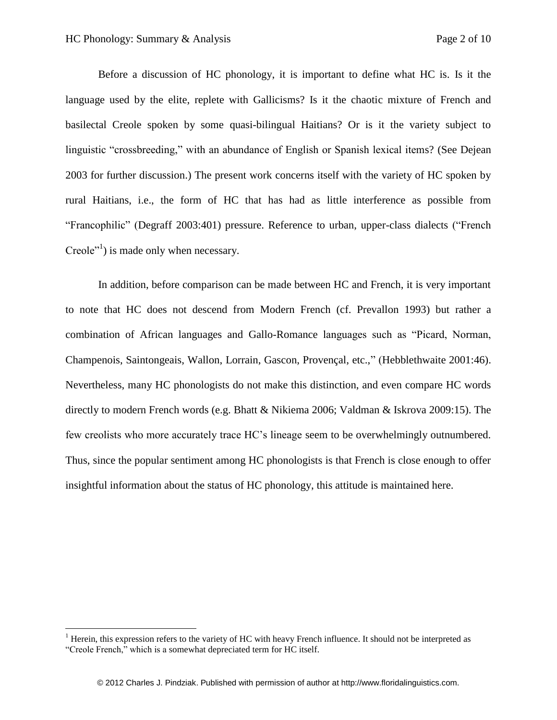$\overline{\phantom{a}}$ 

Before a discussion of HC phonology, it is important to define what HC is. Is it the language used by the elite, replete with Gallicisms? Is it the chaotic mixture of French and basilectal Creole spoken by some quasi-bilingual Haitians? Or is it the variety subject to linguistic "crossbreeding," with an abundance of English or Spanish lexical items? (See Dejean 2003 for further discussion.) The present work concerns itself with the variety of HC spoken by rural Haitians, i.e., the form of HC that has had as little interference as possible from "Francophilic" (Degraff 2003:401) pressure. Reference to urban, upper-class dialects ("French Creole"<sup>1</sup>) is made only when necessary.

In addition, before comparison can be made between HC and French, it is very important to note that HC does not descend from Modern French (cf. Prevallon 1993) but rather a combination of African languages and Gallo-Romance languages such as "Picard, Norman, Champenois, Saintongeais, Wallon, Lorrain, Gascon, Provençal, etc.," (Hebblethwaite 2001:46). Nevertheless, many HC phonologists do not make this distinction, and even compare HC words directly to modern French words (e.g. Bhatt & Nikiema 2006; Valdman & Iskrova 2009:15). The few creolists who more accurately trace HC's lineage seem to be overwhelmingly outnumbered. Thus, since the popular sentiment among HC phonologists is that French is close enough to offer insightful information about the status of HC phonology, this attitude is maintained here.

<sup>&</sup>lt;sup>1</sup> Herein, this expression refers to the variety of HC with heavy French influence. It should not be interpreted as "Creole French," which is a somewhat depreciated term for HC itself.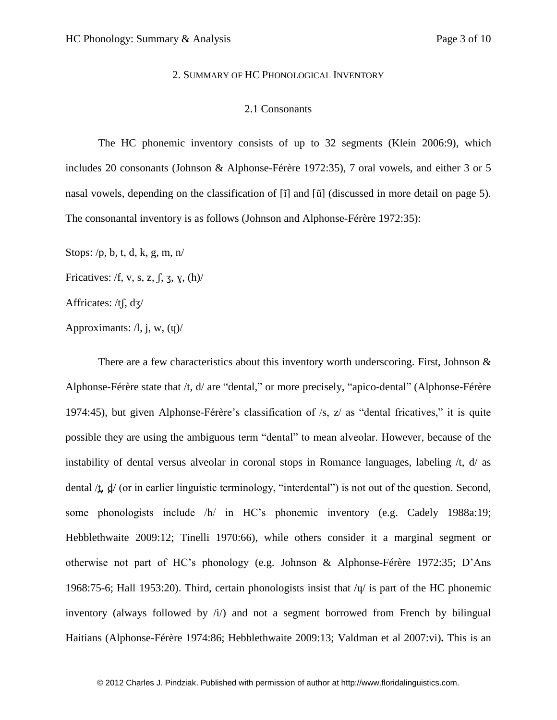#### 2. SUMMARY OF HC PHONOLOGICAL INVENTORY

#### 2.1 Consonants

The HC phonemic inventory consists of up to 32 segments (Klein 2006:9), which includes 20 consonants (Johnson & Alphonse-Férère 1972:35), 7 oral vowels, and either 3 or 5 nasal vowels, depending on the classification of [ĩ] and [ũ] (discussed in more detail on page 5). The consonantal inventory is as follows (Johnson and Alphonse-Férère 1972:35):

Stops: /p, b, t, d, k, g, m, n/

Fricatives: /f, v, s, z,  $\int$ ,  $\frac{7}{3}$ ,  $\frac{1}{2}$ ,  $\frac{1}{2}$ 

Affricates: /tʃ, dʒ/

Approximants:  $\lambda$ , j, w,  $\lambda$ 

There are a few characteristics about this inventory worth underscoring. First, Johnson  $\&$ Alphonse-Férère state that /t, d/ are "dental," or more precisely, "apico-dental" (Alphonse-Férère 1974:45), but given Alphonse-Férère's classification of /s, z/ as "dental fricatives," it is quite possible they are using the ambiguous term "dental" to mean alveolar. However, because of the instability of dental versus alveolar in coronal stops in Romance languages, labeling /t, d/ as dental  $\Delta$ ,  $\frac{d}{dx}$  (or in earlier linguistic terminology, "interdental") is not out of the question. Second, some phonologists include /h/ in HC's phonemic inventory (e.g. Cadely 1988a:19; Hebblethwaite 2009:12; Tinelli 1970:66), while others consider it a marginal segment or otherwise not part of HC's phonology (e.g. Johnson & Alphonse-Férère 1972:35; D'Ans 1968:75-6; Hall 1953:20). Third, certain phonologists insist that /ɥ/ is part of the HC phonemic inventory (always followed by  $\pi/$ ) and not a segment borrowed from French by bilingual Haitians (Alphonse-Férère 1974:86; Hebblethwaite 2009:13; Valdman et al 2007:vi)**.** This is an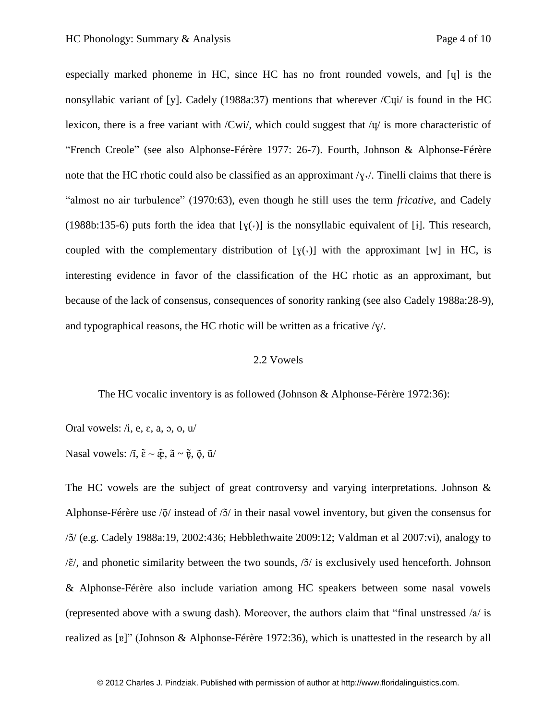especially marked phoneme in HC, since HC has no front rounded vowels, and [ɥ] is the nonsyllabic variant of [y]. Cadely (1988a:37) mentions that wherever /Cui/ is found in the HC lexicon, there is a free variant with /Cwi/, which could suggest that  $\overline{q}$  is more characteristic of "French Creole" (see also Alphonse-Férère 1977: 26-7). Fourth, Johnson & Alphonse-Férère note that the HC rhotic could also be classified as an approximant  $/\gamma \cdot$ . Tinelli claims that there is "almost no air turbulence" (1970:63), even though he still uses the term *fricative*, and Cadely (1988b:135-6) puts forth the idea that  $[y(\cdot)]$  is the nonsyllabic equivalent of [i]. This research, coupled with the complementary distribution of  $[y(\cdot)]$  with the approximant [w] in HC, is interesting evidence in favor of the classification of the HC rhotic as an approximant, but because of the lack of consensus, consequences of sonority ranking (see also Cadely 1988a:28-9), and typographical reasons, the HC rhotic will be written as a fricative  $\gamma/\gamma$ .

## 2.2 Vowels

The HC vocalic inventory is as followed (Johnson & Alphonse-Férère 1972:36):

Oral vowels:  $/i$ , e,  $\varepsilon$ , a,  $\sigma$ ,  $o$ ,  $u$ 

Nasal vowels: / $\tilde{\mathfrak{l}}$ ,  $\tilde{\mathfrak{e}} \sim \tilde{\mathfrak{E}}$ ,  $\tilde{\mathfrak{a}} \sim \tilde{\mathfrak{e}}$ ,  $\tilde{\mathfrak{g}}$ ,  $\tilde{\mathfrak{u}}$ /

The HC vowels are the subject of great controversy and varying interpretations. Johnson & Alphonse-Férère use  $\delta / \delta$  instead of  $\delta / \delta$  in their nasal vowel inventory, but given the consensus for /ɔ / (e.g. Cadely 1988a:19, 2002:436; Hebblethwaite 2009:12; Valdman et al 2007:vi), analogy to  $\delta/\tilde{\epsilon}$ , and phonetic similarity between the two sounds,  $\delta/\tilde{\epsilon}$  is exclusively used henceforth. Johnson & Alphonse-Férère also include variation among HC speakers between some nasal vowels (represented above with a swung dash). Moreover, the authors claim that "final unstressed /a/ is realized as [ $\mathbf{g}$ ]" (Johnson & Alphonse-Férère 1972:36), which is unattested in the research by all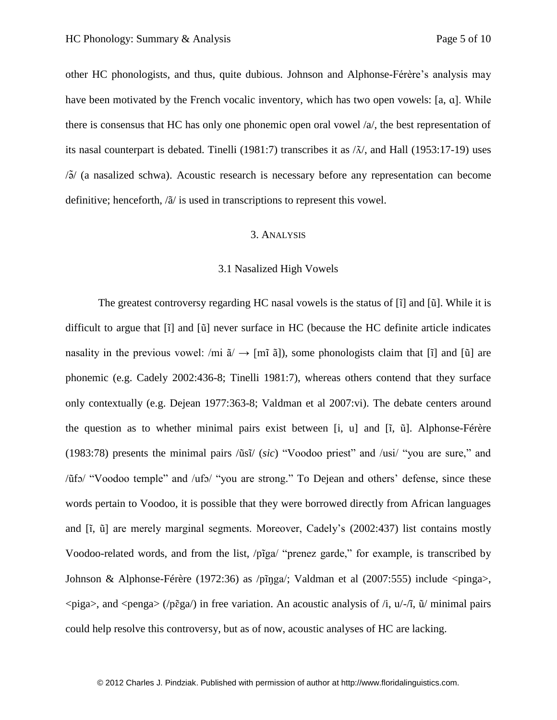other HC phonologists, and thus, quite dubious. Johnson and Alphonse-Férère's analysis may have been motivated by the French vocalic inventory, which has two open vowels: [a, a]. While there is consensus that HC has only one phonemic open oral vowel /a/, the best representation of its nasal counterpart is debated. Tinelli (1981:7) transcribes it as  $/\tilde{\lambda}$ , and Hall (1953:17-19) uses  $\sqrt{3}$  (a nasalized schwa). Acoustic research is necessary before any representation can become definitive; henceforth, /ã/ is used in transcriptions to represent this vowel.

## 3. ANALYSIS

#### 3.1 Nasalized High Vowels

The greatest controversy regarding HC nasal vowels is the status of [ĩ] and [ũ]. While it is difficult to argue that [ĩ] and [ũ] never surface in HC (because the HC definite article indicates nasality in the previous vowel: /mi  $\tilde{a}/\rightarrow$  [mi  $\tilde{a}$ ]), some phonologists claim that [i] and [ũ] are phonemic (e.g. Cadely 2002:436-8; Tinelli 1981:7), whereas others contend that they surface only contextually (e.g. Dejean 1977:363-8; Valdman et al 2007:vi). The debate centers around the question as to whether minimal pairs exist between [i, u] and [ĩ, ũ]. Alphonse-Férère (1983:78) presents the minimal pairs /ũsĩ/ (*sic*) "Voodoo priest" and /usi/ "you are sure," and /ũfɔ/ "Voodoo temple" and /ufɔ/ "you are strong." To Dejean and others' defense, since these words pertain to Voodoo, it is possible that they were borrowed directly from African languages and [ĩ, ũ] are merely marginal segments. Moreover, Cadely's (2002:437) list contains mostly Voodoo-related words, and from the list, /pĩga/ "prenez garde," for example, is transcribed by Johnson & Alphonse-Férère (1972:36) as /pĩŋga/; Valdman et al (2007:555) include <pinga>,  $\langle \text{piga}\rangle$ , and  $\langle \text{pega}\rangle$  (/pɛ̃ga/) in free variation. An acoustic analysis of /i, u/-/ī, ũ/ minimal pairs could help resolve this controversy, but as of now, acoustic analyses of HC are lacking.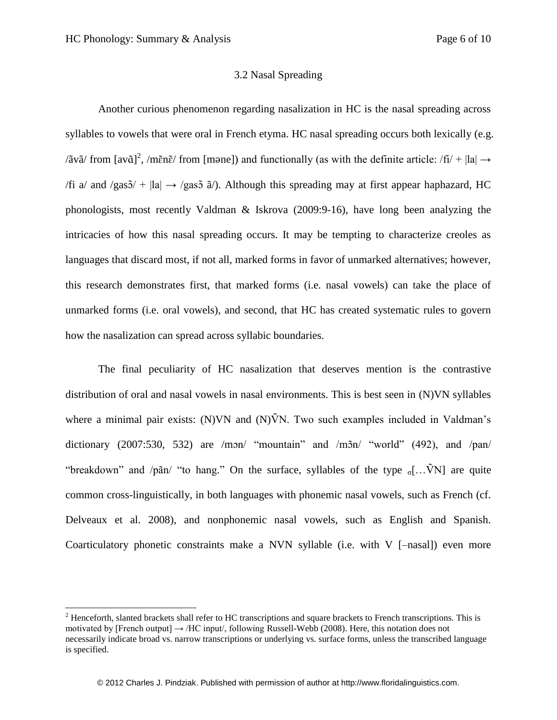$\overline{\phantom{a}}$ 

## 3.2 Nasal Spreading

Another curious phenomenon regarding nasalization in HC is the nasal spreading across syllables to vowels that were oral in French etyma. HC nasal spreading occurs both lexically (e.g. /ãvã/ from [av $\tilde{a}$ ]<sup>2</sup>, /mɛ̃nɛ̃/ from [mǝne]) and functionally (as with the definite article: /fi/ + |la| → /fi a/ and /gas $5/$  + |la|  $\rightarrow$  /gas $5$   $\tilde{a}$ /). Although this spreading may at first appear haphazard, HC phonologists, most recently Valdman & Iskrova (2009:9-16), have long been analyzing the intricacies of how this nasal spreading occurs. It may be tempting to characterize creoles as languages that discard most, if not all, marked forms in favor of unmarked alternatives; however, this research demonstrates first, that marked forms (i.e. nasal vowels) can take the place of unmarked forms (i.e. oral vowels), and second, that HC has created systematic rules to govern how the nasalization can spread across syllabic boundaries.

The final peculiarity of HC nasalization that deserves mention is the contrastive distribution of oral and nasal vowels in nasal environments. This is best seen in (N)VN syllables where a minimal pair exists: (N)VN and (N) $\tilde{V}N$ . Two such examples included in Valdman's dictionary  $(2007:530, 532)$  are /mon/ "mountain" and /mon/ "world"  $(492)$ , and /pan/ "breakdown" and /pãn/ "to hang." On the surface, syllables of the type  $\sigma$ [...VN] are quite common cross-linguistically, in both languages with phonemic nasal vowels, such as French (cf. Delveaux et al. 2008), and nonphonemic nasal vowels, such as English and Spanish. Coarticulatory phonetic constraints make a NVN syllable (i.e. with V [–nasal]) even more

 $<sup>2</sup>$  Henceforth, slanted brackets shall refer to HC transcriptions and square brackets to French transcriptions. This is</sup> motivated by [French output]  $\rightarrow$  /HC input/, following Russell-Webb (2008). Here, this notation does not necessarily indicate broad vs. narrow transcriptions or underlying vs. surface forms, unless the transcribed language is specified.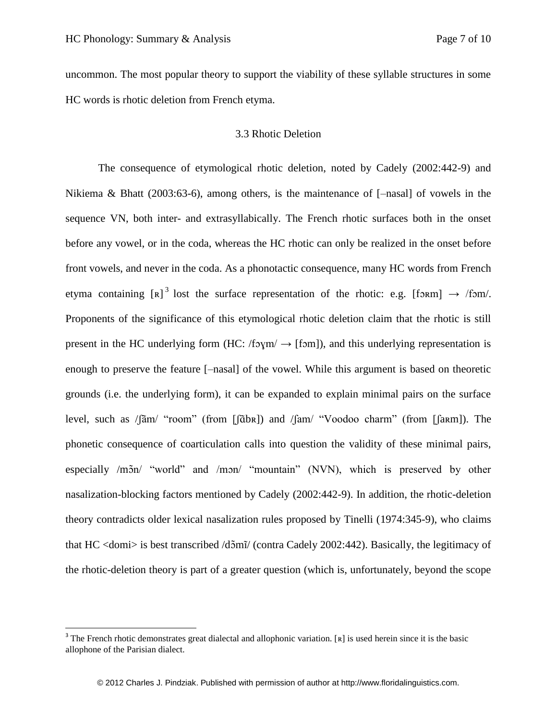l

uncommon. The most popular theory to support the viability of these syllable structures in some HC words is rhotic deletion from French etyma.

## 3.3 Rhotic Deletion

The consequence of etymological rhotic deletion, noted by Cadely (2002:442-9) and Nikiema & Bhatt (2003:63-6), among others, is the maintenance of [–nasal] of vowels in the sequence VN, both inter- and extrasyllabically. The French rhotic surfaces both in the onset before any vowel, or in the coda, whereas the HC rhotic can only be realized in the onset before front vowels, and never in the coda. As a phonotactic consequence, many HC words from French etyma containing  $[\mathbf{R}]$ <sup>3</sup> lost the surface representation of the rhotic: e.g. [form]  $\rightarrow$  /fom/. Proponents of the significance of this etymological rhotic deletion claim that the rhotic is still present in the HC underlying form (HC:  $/5\gamma$ m $/ \rightarrow$  [fom]), and this underlying representation is enough to preserve the feature [–nasal] of the vowel. While this argument is based on theoretic grounds (i.e. the underlying form), it can be expanded to explain minimal pairs on the surface level, such as /ʃam/ "room" (from [ʃābʀ]) and /ʃam/ "Voodoo charm" (from [ʃaʀm]). The phonetic consequence of coarticulation calls into question the validity of these minimal pairs, especially /mɔ̃n/ "world" and /mɔn/ "mountain" (NVN), which is preserved by other nasalization-blocking factors mentioned by Cadely (2002:442-9). In addition, the rhotic-deletion theory contradicts older lexical nasalization rules proposed by Tinelli (1974:345-9), who claims that HC <domi> is best transcribed /dɔ̃mī/ (contra Cadely 2002:442). Basically, the legitimacy of the rhotic-deletion theory is part of a greater question (which is, unfortunately, beyond the scope

<sup>&</sup>lt;sup>3</sup> The French rhotic demonstrates great dialectal and allophonic variation. [R] is used herein since it is the basic allophone of the Parisian dialect.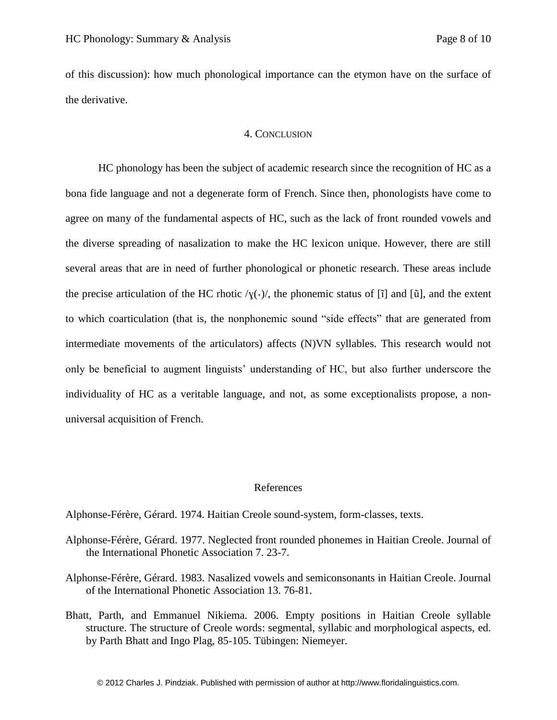of this discussion): how much phonological importance can the etymon have on the surface of the derivative.

### 4. CONCLUSION

HC phonology has been the subject of academic research since the recognition of HC as a bona fide language and not a degenerate form of French. Since then, phonologists have come to agree on many of the fundamental aspects of HC, such as the lack of front rounded vowels and the diverse spreading of nasalization to make the HC lexicon unique. However, there are still several areas that are in need of further phonological or phonetic research. These areas include the precise articulation of the HC rhotic  $/\gamma(\cdot)$ , the phonemic status of [i] and [u], and the extent to which coarticulation (that is, the nonphonemic sound "side effects" that are generated from intermediate movements of the articulators) affects (N)VN syllables. This research would not only be beneficial to augment linguists' understanding of HC, but also further underscore the individuality of HC as a veritable language, and not, as some exceptionalists propose, a nonuniversal acquisition of French.

### References

Alphonse-Férère, Gérard. 1974. Haitian Creole sound-system, form-classes, texts.

- Alphonse-Férère, Gérard. 1977. Neglected front rounded phonemes in Haitian Creole. Journal of the International Phonetic Association 7. 23-7.
- Alphonse-Férère, Gérard. 1983. Nasalized vowels and semiconsonants in Haitian Creole. Journal of the International Phonetic Association 13. 76-81.
- Bhatt, Parth, and Emmanuel Nikiema. 2006. Empty positions in Haitian Creole syllable structure. The structure of Creole words: segmental, syllabic and morphological aspects, ed. by Parth Bhatt and Ingo Plag, 85-105. Tübingen: Niemeyer.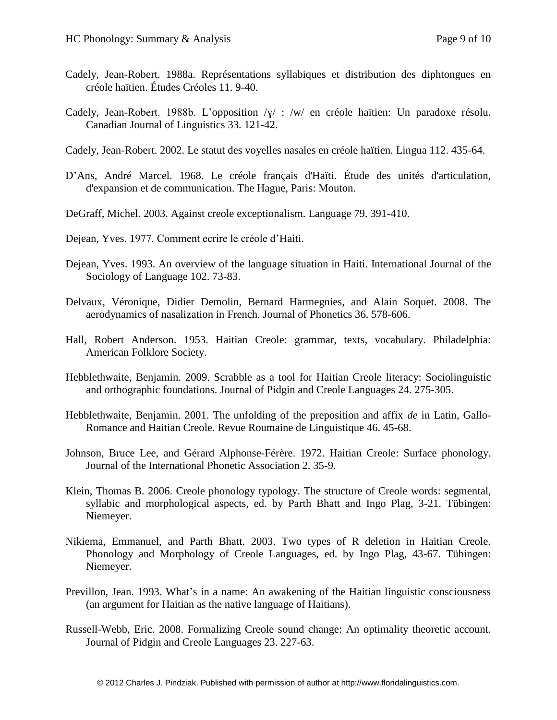- Cadely, Jean-Robert. 1988a. Représentations syllabiques et distribution des diphtongues en créole haïtien. Études Créoles 11. 9-40.
- Cadely, Jean-Robert. 1988b. L'opposition /ɣ/ : /w/ en créole haïtien: Un paradoxe résolu. Canadian Journal of Linguistics 33. 121-42.
- Cadely, Jean-Robert. 2002. Le statut des voyelles nasales en créole haïtien. Lingua 112. 435-64.
- D'Ans, André Marcel. 1968. Le créole français d'Haïti. Étude des unités d'articulation, d'expansion et de communication. The Hague, Paris: Mouton.
- DeGraff, Michel. 2003. Against creole exceptionalism. Language 79. 391-410.
- Dejean, Yves. 1977. Comment ecrire le créole d'Haiti.
- Dejean, Yves. 1993. An overview of the language situation in Haiti. International Journal of the Sociology of Language 102. 73-83.
- Delvaux, Véronique, Didier Demolin, Bernard Harmegnies, and Alain Soquet. 2008. The aerodynamics of nasalization in French. Journal of Phonetics 36. 578-606.
- Hall, Robert Anderson. 1953. Haitian Creole: grammar, texts, vocabulary. Philadelphia: American Folklore Society.
- Hebblethwaite, Benjamin. 2009. Scrabble as a tool for Haitian Creole literacy: Sociolinguistic and orthographic foundations. Journal of Pidgin and Creole Languages 24. 275-305.
- Hebblethwaite, Benjamin. 2001. The unfolding of the preposition and affix *de* in Latin, Gallo-Romance and Haitian Creole. Revue Roumaine de Linguistique 46. 45-68.
- Johnson, Bruce Lee, and Gérard Alphonse-Férère. 1972. Haitian Creole: Surface phonology. Journal of the International Phonetic Association 2. 35-9.
- Klein, Thomas B. 2006. Creole phonology typology. The structure of Creole words: segmental, syllabic and morphological aspects, ed. by Parth Bhatt and Ingo Plag, 3-21. Tübingen: Niemeyer.
- Nikiema, Emmanuel, and Parth Bhatt. 2003. Two types of R deletion in Haitian Creole. Phonology and Morphology of Creole Languages, ed. by Ingo Plag, 43-67. Tübingen: Niemeyer.
- Previllon, Jean. 1993. What's in a name: An awakening of the Haitian linguistic consciousness (an argument for Haitian as the native language of Haitians).
- Russell-Webb, Eric. 2008. Formalizing Creole sound change: An optimality theoretic account. Journal of Pidgin and Creole Languages 23. 227-63.